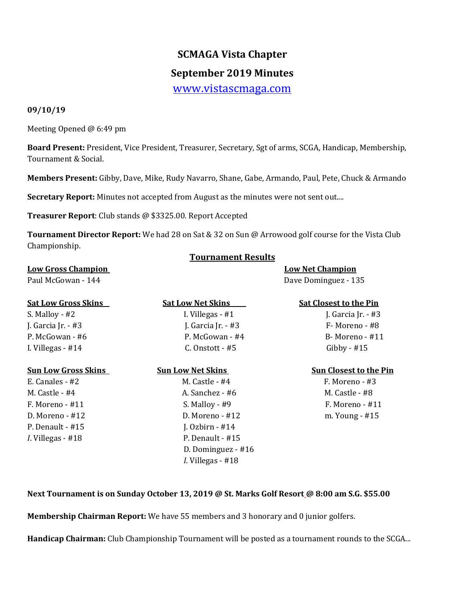# **SCMAGA Vista Chapter**

**September 2019 Minutes**

[www.vistascmaga.com](http://www.vistascmaga.com/)

#### **09/10/19**

Meeting Opened @ 6:49 pm

**Board Present:** President, Vice President, Treasurer, Secretary, Sgt of arms, SCGA, Handicap, Membership, Tournament & Social.

**Members Present:** Gibby, Dave, Mike, Rudy Navarro, Shane, Gabe, Armando, Paul, Pete, Chuck & Armando

**Secretary Report:** Minutes not accepted from August as the minutes were not sent out....

**Treasurer Report**: Club stands @ \$3325.00. Report Accepted

**Tournament Director Report:** We had 28 on Sat & 32 on Sun @ Arrowood golf course for the Vista Club Championship.

|                            | <b>Tournament Results</b> |                               |
|----------------------------|---------------------------|-------------------------------|
| <b>Low Gross Champion</b>  |                           | <b>Low Net Champion</b>       |
| Paul McGowan - 144         |                           | Dave Dominguez - 135          |
| <b>Sat Low Gross Skins</b> | <b>Sat Low Net Skins</b>  | <b>Sat Closest to the Pin</b> |
| S. Malloy - $#2$           | I. Villegas - $#1$        | J. Garcia Jr. - $#3$          |
| J. Garcia Jr. - $#3$       | J. Garcia Jr. - $#3$      | F-Moreno - #8                 |
| P. McGowan - #6            | P. McGowan - $#4$         | $B-$ Moreno - #11             |
| I. Villegas - $#14$        | $C.$ Onstott - #5         | Gibby - $#15$                 |
| <b>Sun Low Gross Skins</b> | <b>Sun Low Net Skins</b>  | <b>Sun Closest to the Pin</b> |
| E. Canales - #2            | M. Castle - #4            | $F.$ Moreno - #3              |
| M. Castle - #4             | A. Sanchez - #6           | M. Castle - #8                |
| $F.$ Moreno - #11          | S. Malloy - $#9$          | $F.$ Moreno - $#11$           |
| $D.$ Moreno - #12          | $D.$ Moreno - #12         | m. Young - #15                |
| P. Denault - $\#15$        | J. Ozbirn - $#14$         |                               |
| $I.$ Villegas - #18        | P. Denault - #15          |                               |
|                            | D. Dominguez - $#16$      |                               |

**Next Tournament is on Sunday October 13, 2019 @ St. Marks Golf Resort @ 8:00 am S.G. \$55.00** 

*I*. Villegas - #18

**Membership Chairman Report:** We have 55 members and 3 honorary and 0 junior golfers.

**Handicap Chairman:** Club Championship Tournament will be posted as a tournament rounds to the SCGA...